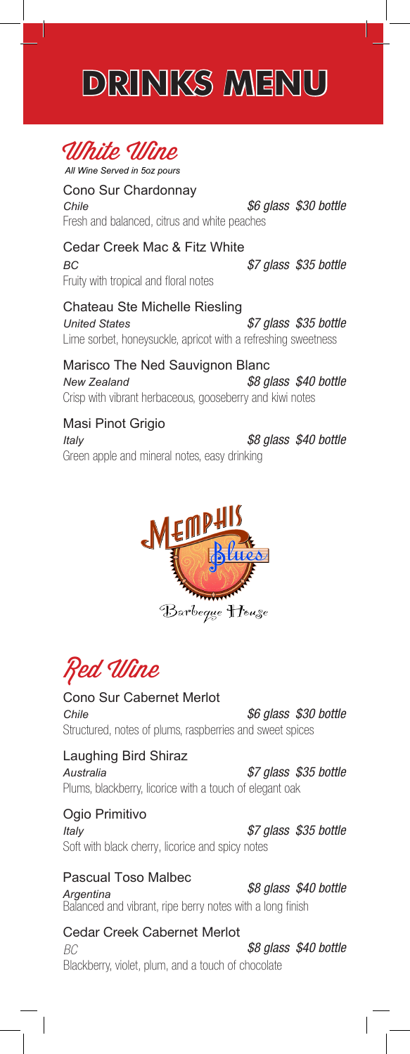# **DRINKS MENU**



Cono Sur Chardonnay Chile  *\$6 glass \$30 bottle* Fresh and balanced, citrus and white peaches

Cedar Creek Mac & Fitz White **BC** Fruity with tropical and floral notes

 *\$7 glass \$35 bottle*

Chateau Ste Michelle Riesling *United States \$7 glass \$35 bottle* Lime sorbet, honeysuckle, apricot with a refreshing sweetness

Marisco The Ned Sauvignon Blanc *New Zealand \$8 glass \$40 bottle* Crisp with vibrant herbaceous, gooseberry and kiwi notes

Masi Pinot Grigio Italy

 *\$8 glass \$40 bottle* Green apple and mineral notes, easy drinking



Red Wine

Cono Sur Cabernet Merlot Chile  *\$6 glass \$30 bottle* Structured, notes of plums, raspberries and sweet spices

#### Laughing Bird Shiraz

Australia  *\$7 glass \$35 bottle* Plums, blackberry, licorice with a touch of elegant oak

### Ogio Primitivo

Italy

 *\$7 glass \$35 bottle* Soft with black cherry, licorice and spicy notes

### **Pascual Toso Malbec**

 *\$8 glass \$40 bottle* Argentina Balanced and vibrant, ripe berry notes with a long finish

Cedar Creek Cabernet Merlot

*BC \$8 glass \$40 bottle* Blackberry, violet, plum, and a touch of chocolate